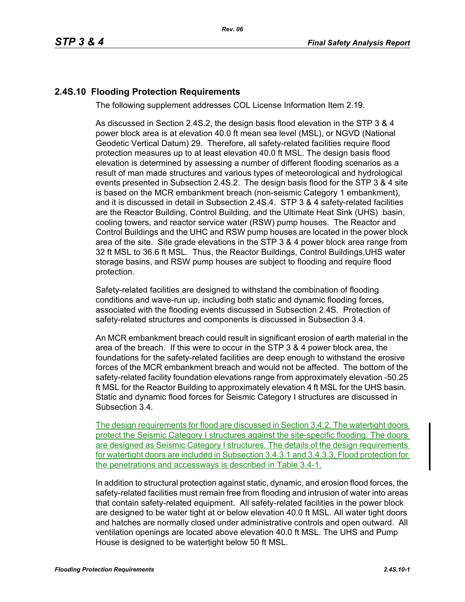## **2.4S.10 Flooding Protection Requirements**

The following supplement addresses COL License Information Item 2.19.

As discussed in Section 2.4S.2, the design basis flood elevation in the STP 3 & 4 power block area is at elevation 40.0 ft mean sea level (MSL), or NGVD (National Geodetic Vertical Datum) 29. Therefore, all safety-related facilities require flood protection measures up to at least elevation 40.0 ft MSL. The design basis flood elevation is determined by assessing a number of different flooding scenarios as a result of man made structures and various types of meteorological and hydrological events presented in Subsection 2.4S.2. The design basis flood for the STP 3 & 4 site is based on the MCR embankment breach (non-seismic Category 1 embankment), and it is discussed in detail in Subsection 2.4S.4. STP 3 & 4 safety-related facilities are the Reactor Building, Control Building, and the Ultimate Heat Sink (UHS) basin, cooling towers, and reactor service water (RSW) pump houses. The Reactor and Control Buildings and the UHC and RSW pump houses are located in the power block area of the site. Site grade elevations in the STP 3 & 4 power block area range from 32 ft MSL to 36.6 ft MSL. Thus, the Reactor Buildings, Control Buildings,UHS water storage basins, and RSW pump houses are subject to flooding and require flood protection.

Safety-related facilities are designed to withstand the combination of flooding conditions and wave-run up, including both static and dynamic flooding forces, associated with the flooding events discussed in Subsection 2.4S. Protection of safety-related structures and components is discussed in Subsection 3.4.

An MCR embankment breach could result in significant erosion of earth material in the area of the breach. If this were to occur in the STP 3 & 4 power block area, the foundations for the safety-related facilities are deep enough to withstand the erosive forces of the MCR embankment breach and would not be affected. The bottom of the safety-related facility foundation elevations range from approximately elevation -50.25 ft MSL for the Reactor Building to approximately elevation 4 ft MSL for the UHS basin. Static and dynamic flood forces for Seismic Category I structures are discussed in Subsection 3.4.

The design requirements for flood are discussed in Section 3.4.2. The watertight doors protect the Seismic Category I structures against the site-specific flooding. The doors are designed as Seismic Category I structures. The details of the design requirements for watertight doors are included in Subsection 3.4.3.1 and 3.4.3.3. Flood protection for the penetrations and accessways is described in Table 3.4-1.

In addition to structural protection against static, dynamic, and erosion flood forces, the safety-related facilities must remain free from flooding and intrusion of water into areas that contain safety-related equipment. All safety-related facilities in the power block are designed to be water tight at or below elevation 40.0 ft MSL. All water tight doors and hatches are normally closed under administrative controls and open outward. All ventilation openings are located above elevation 40.0 ft MSL. The UHS and Pump House is designed to be watertight below 50 ft MSL.